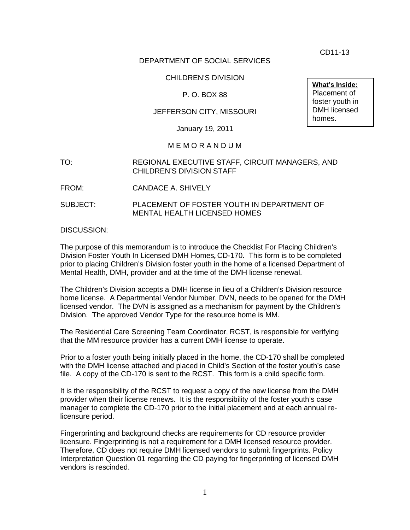CD11-13

**What's Inside:** Placement of foster youth in DMH licensed

homes.

# DEPARTMENT OF SOCIAL SERVICES

# CHILDREN'S DIVISION

# P. O. BOX 88

## JEFFERSON CITY, MISSOURI

January 19, 2011

### M E M O R A N D U M

- TO: REGIONAL EXECUTIVE STAFF, CIRCUIT MANAGERS, AND CHILDREN'S DIVISION STAFF
- FROM: CANDACE A. SHIVELY
- SUBJECT: PLACEMENT OF FOSTER YOUTH IN DEPARTMENT OF MENTAL HEALTH LICENSED HOMES

### DISCUSSION:

The purpose of this memorandum is to introduce the Checklist For Placing Children's Division Foster Youth In Licensed DMH Homes**,** CD-170. This form is to be completed prior to placing Children's Division foster youth in the home of a licensed Department of Mental Health, DMH, provider and at the time of the DMH license renewal.

The Children's Division accepts a DMH license in lieu of a Children's Division resource home license. A Departmental Vendor Number, DVN, needs to be opened for the DMH licensed vendor. The DVN is assigned as a mechanism for payment by the Children's Division. The approved Vendor Type for the resource home is MM.

The Residential Care Screening Team Coordinator, RCST, is responsible for verifying that the MM resource provider has a current DMH license to operate.

Prior to a foster youth being initially placed in the home, the CD-170 shall be completed with the DMH license attached and placed in Child's Section of the foster youth's case file. A copy of the CD-170 is sent to the RCST. This form is a child specific form.

It is the responsibility of the RCST to request a copy of the new license from the DMH provider when their license renews. It is the responsibility of the foster youth's case manager to complete the CD-170 prior to the initial placement and at each annual relicensure period.

Fingerprinting and background checks are requirements for CD resource provider licensure. Fingerprinting is not a requirement for a DMH licensed resource provider. Therefore, CD does not require DMH licensed vendors to submit fingerprints. Policy Interpretation Question 01 regarding the CD paying for fingerprinting of licensed DMH vendors is rescinded.

1